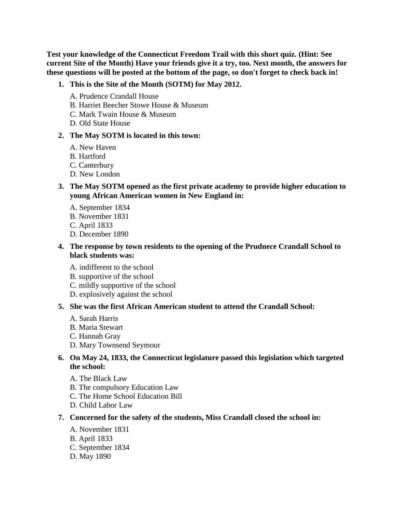**Test your knowledge of the Connecticut Freedom Trail with this short quiz. (Hint: See current Site of the Month) Have your friends give it a try, too. Next month, the answers for these questions will be posted at the bottom of the page, so don't forget to check back in!**

- **1. This is the Site of the Month (SOTM) for May 2012.** 
	- A. Prudence Crandall House
	- B. Harriet Beecher Stowe House & Museum
	- C. Mark Twain House & Museum
	- D. Old State House

#### **2. The May SOTM is located in this town:**

- A. New Haven
- B. Hartford
- C. Canterbury
- D. New London
- **3. The May SOTM opened as the first private academy to provide higher education to young African American women in New England in:** 
	- A. September 1834
	- B. November 1831
	- C. April 1833
	- D. December 1890
- **4. The response by town residents to the opening of the Prudnece Crandall School to black students was:** 
	- A. indifferent to the school
	- B. supportive of the school
	- C. mildly supportive of the school
	- D. explosively against the school

# **5. She was the first African American student to attend the Crandall School:**

- A. Sarah Harris
- B. Maria Stewart
- C. Hannah Gray
- D. Mary Townsend Seymour

# **6. On May 24, 1833, the Connecticut legislature passed this legislation which targeted the school:**

- A. The Black Law
- B. The compulsory Education Law
- C. The Home School Education Bill
- D. Child Labor Law

#### **7. Concerned for the safety of the students, Miss Crandall closed the school in:**

- A. November 1831
- B. April 1833
- C. September 1834
- D. May 1890